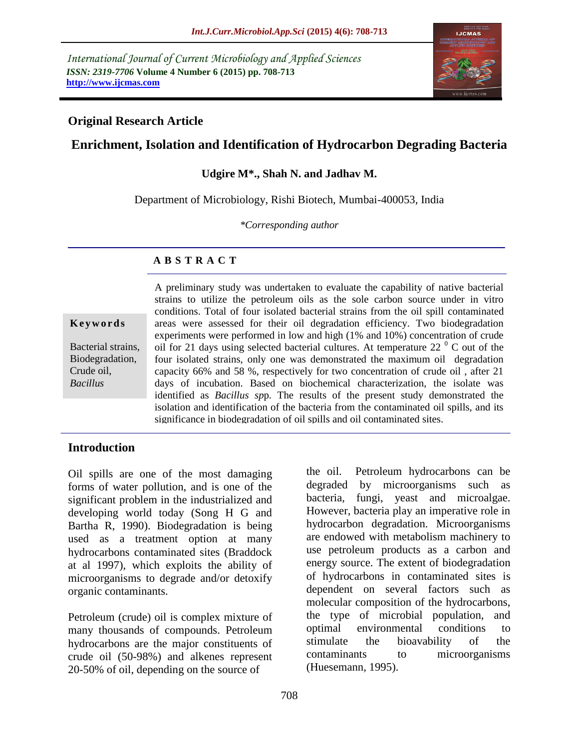*International Journal of Current Microbiology and Applied Sciences ISSN: 2319-7706* **Volume 4 Number 6 (2015) pp. 708-713 http://www.ijcmas.com**



### **Original Research Article**

# **Enrichment, Isolation and Identification of Hydrocarbon Degrading Bacteria**

#### **Udgire M\*., Shah N. and Jadhav M.**

Department of Microbiology, Rishi Biotech, Mumbai-400053, India

*\*Corresponding author*

#### **A B S T R A C T**

**K e y w o r d s**

Bacterial strains, Biodegradation, Crude oil, *Bacillus*

A preliminary study was undertaken to evaluate the capability of native bacterial strains to utilize the petroleum oils as the sole carbon source under in vitro conditions. Total of four isolated bacterial strains from the oil spill contaminated areas were assessed for their oil degradation efficiency. Two biodegradation experiments were performed in low and high (1% and 10%) concentration of crude oil for 21 days using selected bacterial cultures. At temperature 22 $\degree$  C out of the four isolated strains, only one was demonstrated the maximum oil degradation capacity 66% and 58 %, respectively for two concentration of crude oil , after 21 days of incubation. Based on biochemical characterization, the isolate was identified as *Bacillus sp*p. The results of the present study demonstrated the isolation and identification of the bacteria from the contaminated oil spills, and its significance in biodegradation of oil spills and oil contaminated sites.

### **Introduction**

Oil spills are one of the most damaging forms of water pollution, and is one of the significant problem in the industrialized and developing world today (Song H G and Bartha R, 1990). Biodegradation is being used as a treatment option at many hydrocarbons contaminated sites (Braddock at al 1997), which exploits the ability of microorganisms to degrade and/or detoxify organic contaminants.

Petroleum (crude) oil is complex mixture of many thousands of compounds. Petroleum hydrocarbons are the major constituents of crude oil (50-98%) and alkenes represent 20-50% of oil, depending on the source of

the oil. Petroleum hydrocarbons can be degraded by microorganisms such as bacteria, fungi, yeast and microalgae. However, bacteria play an imperative role in hydrocarbon degradation. Microorganisms are endowed with metabolism machinery to use petroleum products as a carbon and energy source. The extent of biodegradation of hydrocarbons in contaminated sites is dependent on several factors such as molecular composition of the hydrocarbons, the type of microbial population, and optimal environmental conditions to stimulate the bioavability of the contaminants to microorganisms (Huesemann, 1995).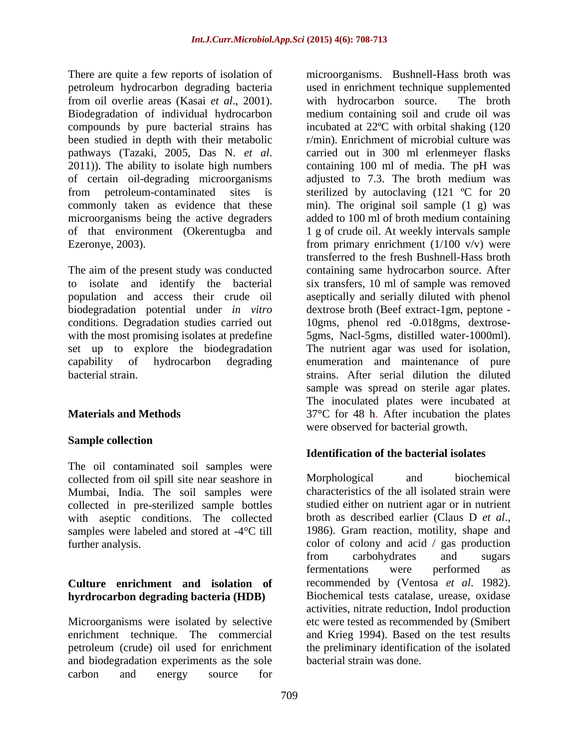There are quite a few reports of isolation of petroleum hydrocarbon degrading bacteria from oil overlie areas (Kasai *et al*., 2001). Biodegradation of individual hydrocarbon compounds by pure bacterial strains has been studied in depth with their metabolic pathways (Tazaki, 2005, Das N. *et al*. 2011)). The ability to isolate high numbers of certain oil-degrading microorganisms from petroleum-contaminated sites is commonly taken as evidence that these microorganisms being the active degraders of that environment (Okerentugba and Ezeronye, 2003).

The aim of the present study was conducted to isolate and identify the bacterial population and access their crude oil biodegradation potential under *in vitro* conditions. Degradation studies carried out with the most promising isolates at predefine set up to explore the biodegradation capability of hydrocarbon degrading bacterial strain.

# **Materials and Methods**

### **Sample collection**

The oil contaminated soil samples were collected from oil spill site near seashore in Mumbai, India. The soil samples were collected in pre-sterilized sample bottles with aseptic conditions. The collected samples were labeled and stored at -4°C till further analysis.

# **Culture enrichment and isolation of hyrdrocarbon degrading bacteria (HDB)**

Microorganisms were isolated by selective enrichment technique. The commercial petroleum (crude) oil used for enrichment and biodegradation experiments as the sole carbon and energy source for

microorganisms. Bushnell-Hass broth was used in enrichment technique supplemented with hydrocarbon source. The broth medium containing soil and crude oil was incubated at 22ºC with orbital shaking (120 r/min). Enrichment of microbial culture was carried out in 300 ml erlenmeyer flasks containing 100 ml of media. The pH was adjusted to 7.3. The broth medium was sterilized by autoclaving (121 ºC for 20 min). The original soil sample (1 g) was added to 100 ml of broth medium containing 1 g of crude oil. At weekly intervals sample from primary enrichment  $(1/100 \text{ v/v})$  were transferred to the fresh Bushnell-Hass broth containing same hydrocarbon source. After six transfers, 10 ml of sample was removed aseptically and serially diluted with phenol dextrose broth (Beef extract-1gm, peptone - 10gms, phenol red -0.018gms, dextrose-5gms, Nacl-5gms, distilled water-1000ml). The nutrient agar was used for isolation, enumeration and maintenance of pure strains. After serial dilution the diluted sample was spread on sterile agar plates. The inoculated plates were incubated at 37°C for 48 h. After incubation the plates were observed for bacterial growth.

# **Identification of the bacterial isolates**

Morphological and biochemical characteristics of the all isolated strain were studied either on nutrient agar or in nutrient broth as described earlier (Claus D *et al*., 1986). Gram reaction, motility, shape and color of colony and acid / gas production from carbohydrates and sugars fermentations were performed as recommended by (Ventosa *et al*. 1982). Biochemical tests catalase, urease, oxidase activities, nitrate reduction, Indol production etc were tested as recommended by (Smibert and Krieg 1994). Based on the test results the preliminary identification of the isolated bacterial strain was done.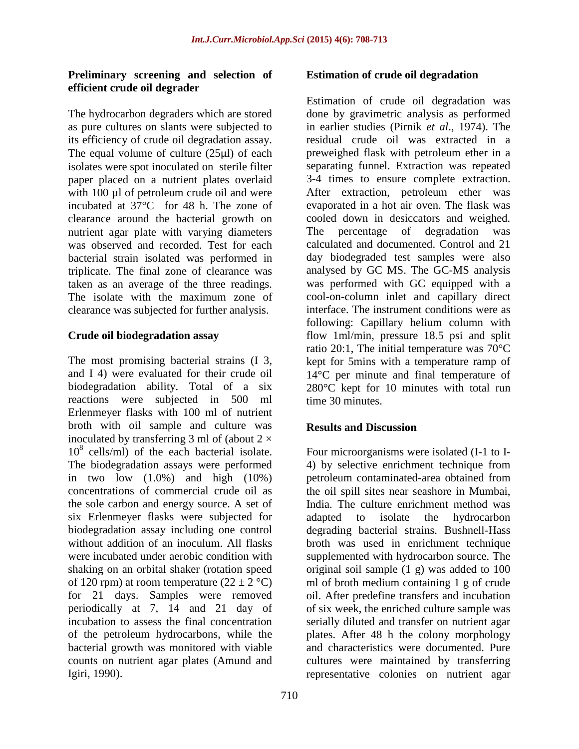### **Preliminary screening and selection of efficient crude oil degrader**

The hydrocarbon degraders which are stored as pure cultures on slants were subjected to its efficiency of crude oil degradation assay. The equal volume of culture (25µl) of each isolates were spot inoculated on sterile filter paper placed on a nutrient plates overlaid with 100 µl of petroleum crude oil and were incubated at 37°C for 48 h. The zone of clearance around the bacterial growth on nutrient agar plate with varying diameters was observed and recorded. Test for each bacterial strain isolated was performed in triplicate. The final zone of clearance was taken as an average of the three readings. The isolate with the maximum zone of clearance was subjected for further analysis.

### **Crude oil biodegradation assay**

The most promising bacterial strains (I 3, and I 4) were evaluated for their crude oil biodegradation ability. Total of a six reactions were subjected in 500 ml Erlenmeyer flasks with 100 ml of nutrient broth with oil sample and culture was inoculated by transferring 3 ml of (about  $2 \times$ 10<sup>8</sup> cells/ml) of the each bacterial isolate. The biodegradation assays were performed in two low  $(1.0\%)$  and high  $(10\%)$ concentrations of commercial crude oil as the sole carbon and energy source. A set of six Erlenmeyer flasks were subjected for biodegradation assay including one control without addition of an inoculum. All flasks were incubated under aerobic condition with shaking on an orbital shaker (rotation speed of 120 rpm) at room temperature  $(22 \pm 2 \degree C)$ for 21 days. Samples were removed periodically at 7, 14 and 21 day of incubation to assess the final concentration of the petroleum hydrocarbons, while the bacterial growth was monitored with viable counts on nutrient agar plates (Amund and Igiri, 1990).

#### **Estimation of crude oil degradation**

Estimation of crude oil degradation was done by gravimetric analysis as performed in earlier studies (Pirnik *et al*., 1974). The residual crude oil was extracted in a preweighed flask with petroleum ether in a separating funnel. Extraction was repeated 3-4 times to ensure complete extraction. After extraction, petroleum ether was evaporated in a hot air oven. The flask was cooled down in desiccators and weighed. The percentage of degradation was calculated and documented. Control and 21 day biodegraded test samples were also analysed by GC MS. The GC-MS analysis was performed with GC equipped with a cool-on-column inlet and capillary direct interface. The instrument conditions were as following: Capillary helium column with flow 1ml/min, pressure 18.5 psi and split ratio 20:1, The initial temperature was 70°C kept for 5mins with a temperature ramp of 14°C per minute and final temperature of 280°C kept for 10 minutes with total run time 30 minutes.

### **Results and Discussion**

Four microorganisms were isolated (I-1 to I-4) by selective enrichment technique from petroleum contaminated-area obtained from the oil spill sites near seashore in Mumbai, India. The culture enrichment method was adapted to isolate the hydrocarbon degrading bacterial strains. Bushnell-Hass broth was used in enrichment technique supplemented with hydrocarbon source. The original soil sample (1 g) was added to 100 ml of broth medium containing 1 g of crude oil. After predefine transfers and incubation of six week, the enriched culture sample was serially diluted and transfer on nutrient agar plates. After 48 h the colony morphology and characteristics were documented. Pure cultures were maintained by transferring representative colonies on nutrient agar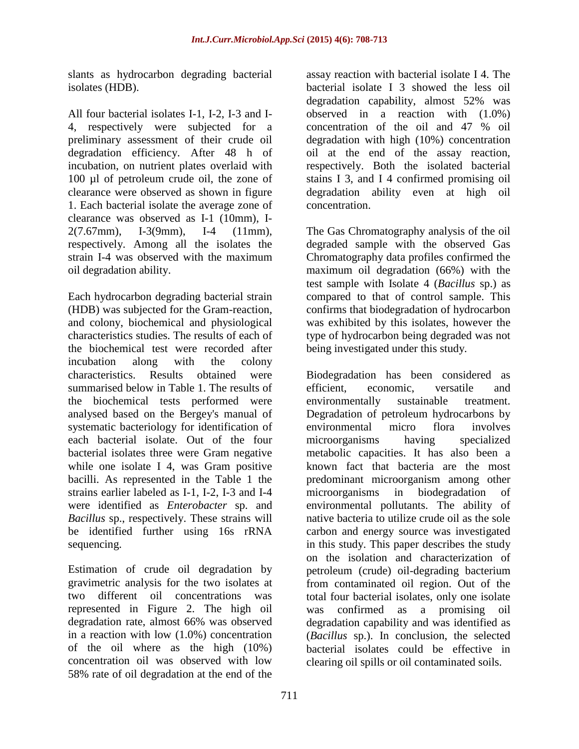slants as hydrocarbon degrading bacterial isolates (HDB).

All four bacterial isolates I-1, I-2, I-3 and I-4, respectively were subjected for a preliminary assessment of their crude oil degradation efficiency. After 48 h of incubation, on nutrient plates overlaid with 100 µl of petroleum crude oil, the zone of clearance were observed as shown in figure 1. Each bacterial isolate the average zone of clearance was observed as I-1 (10mm), I-2(7.67mm), I-3(9mm), I-4 (11mm), respectively. Among all the isolates the strain I-4 was observed with the maximum oil degradation ability.

Each hydrocarbon degrading bacterial strain (HDB) was subjected for the Gram-reaction, and colony, biochemical and physiological characteristics studies. The results of each of the biochemical test were recorded after incubation along with the colony characteristics. Results obtained were summarised below in Table 1. The results of the biochemical tests performed were analysed based on the Bergey's manual of systematic bacteriology for identification of each bacterial isolate. Out of the four bacterial isolates three were Gram negative while one isolate I 4, was Gram positive bacilli. As represented in the Table 1 the strains earlier labeled as I-1, I-2, I-3 and I-4 were identified as *Enterobacter* sp. and *Bacillus* sp., respectively. These strains will be identified further using 16s rRNA sequencing.

Estimation of crude oil degradation by gravimetric analysis for the two isolates at two different oil concentrations was represented in Figure 2. The high oil degradation rate, almost 66% was observed in a reaction with low (1.0%) concentration of the oil where as the high (10%) concentration oil was observed with low 58% rate of oil degradation at the end of the

assay reaction with bacterial isolate I 4. The bacterial isolate I 3 showed the less oil degradation capability, almost 52% was observed in a reaction with (1.0%) concentration of the oil and 47 % oil degradation with high (10%) concentration oil at the end of the assay reaction, respectively. Both the isolated bacterial stains I 3, and I 4 confirmed promising oil degradation ability even at high oil concentration.

The Gas Chromatography analysis of the oil degraded sample with the observed Gas Chromatography data profiles confirmed the maximum oil degradation (66%) with the test sample with Isolate 4 (*Bacillus* sp.) as compared to that of control sample. This confirms that biodegradation of hydrocarbon was exhibited by this isolates, however the type of hydrocarbon being degraded was not being investigated under this study.

Biodegradation has been considered as efficient, economic, versatile and environmentally sustainable treatment. Degradation of petroleum hydrocarbons by<br>environmental micro flora involves environmental micro flora involves microorganisms having specialized metabolic capacities. It has also been a known fact that bacteria are the most predominant microorganism among other microorganisms in biodegradation environmental pollutants. The ability of native bacteria to utilize crude oil as the sole carbon and energy source was investigated in this study. This paper describes the study on the isolation and characterization of petroleum (crude) oil-degrading bacterium from contaminated oil region. Out of the total four bacterial isolates, only one isolate was confirmed as a promising oil degradation capability and was identified as (*Bacillus* sp.). In conclusion, the selected bacterial isolates could be effective in clearing oil spills or oil contaminated soils.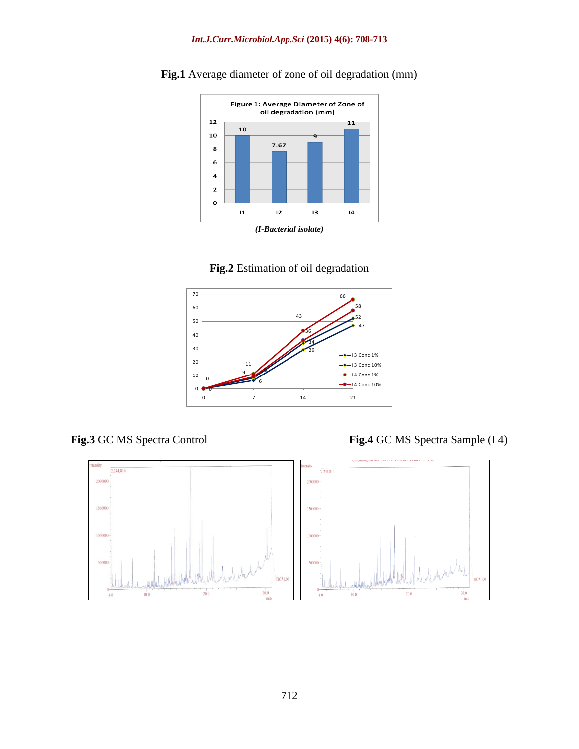

**Fig.1** Average diameter of zone of oil degradation (mm)





**Fig.3** GC MS Spectra Control **Fig.4** GC MS Spectra Sample (I 4)

![](_page_4_Figure_7.jpeg)